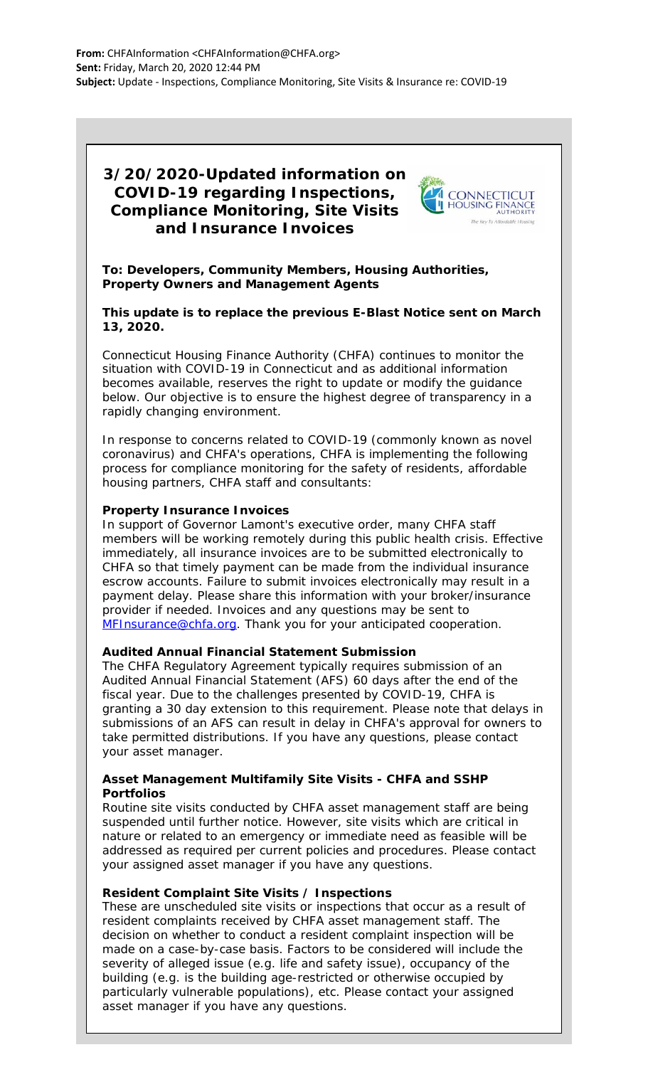# **3/20/2020-Updated information on COVID-19 regarding Inspections, Compliance Monitoring, Site Visits and Insurance Invoices**



**To: Developers, Community Members, Housing Authorities, Property Owners and Management Agents**

**This update is to replace the previous E-Blast Notice sent on March 13, 2020.**

Connecticut Housing Finance Authority (CHFA) continues to monitor the situation with COVID-19 in Connecticut and as additional information becomes available, reserves the right to update or modify the guidance below. Our objective is to ensure the highest degree of transparency in a rapidly changing environment.

In response to concerns related to COVID-19 (commonly known as novel coronavirus) and CHFA's operations, CHFA is implementing the following process for compliance monitoring for the safety of residents, affordable housing partners, CHFA staff and consultants:

# **Property Insurance Invoices**

In support of Governor Lamont's executive order, many CHFA staff members will be working remotely during this public health crisis. Effective immediately, all insurance invoices are to be submitted electronically to CHFA so that timely payment can be made from the individual insurance escrow accounts. Failure to submit invoices electronically may result in a payment delay. Please share this information with your broker/insurance provider if needed. Invoices and any questions may be sent to [MFInsurance@chfa.org.](mailto:MFInsurance@chfa.org) Thank you for your anticipated cooperation.

#### **Audited Annual Financial Statement Submission**

The CHFA Regulatory Agreement typically requires submission of an Audited Annual Financial Statement (AFS) 60 days after the end of the fiscal year. Due to the challenges presented by COVID-19, CHFA is granting a 30 day extension to this requirement. Please note that delays in submissions of an AFS can result in delay in CHFA's approval for owners to take permitted distributions. If you have any questions, please contact your asset manager.

# **Asset Management Multifamily Site Visits - CHFA and SSHP Portfolios**

Routine site visits conducted by CHFA asset management staff are being suspended until further notice. However, site visits which are critical in nature or related to an emergency or immediate need as feasible will be addressed as required per current policies and procedures. Please contact your assigned asset manager if you have any questions.

#### **Resident Complaint Site Visits / Inspections**

These are unscheduled site visits or inspections that occur as a result of resident complaints received by CHFA asset management staff. The decision on whether to conduct a resident complaint inspection will be made on a case-by-case basis. Factors to be considered will include the severity of alleged issue (e.g. life and safety issue), occupancy of the building (e.g. is the building age-restricted or otherwise occupied by particularly vulnerable populations), etc. Please contact your assigned asset manager if you have any questions.